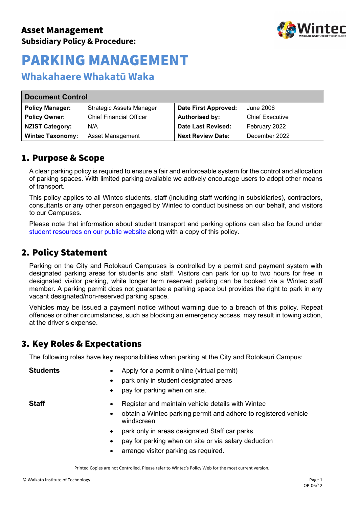

## **Whakahaere Whakatū Waka**

| <b>Document Control</b> |                                 |                             |                        |  |  |
|-------------------------|---------------------------------|-----------------------------|------------------------|--|--|
| <b>Policy Manager:</b>  | <b>Strategic Assets Manager</b> | <b>Date First Approved:</b> | June 2006              |  |  |
| <b>Policy Owner:</b>    | <b>Chief Financial Officer</b>  | <b>Authorised by:</b>       | <b>Chief Executive</b> |  |  |
| <b>NZIST Category:</b>  | N/A                             | Date Last Revised:          | February 2022          |  |  |
| <b>Wintec Taxonomy:</b> | Asset Management                | <b>Next Review Date:</b>    | December 2022          |  |  |

### 1. Purpose & Scope

A clear parking policy is required to ensure a fair and enforceable system for the control and allocation of parking spaces. With limited parking available we actively encourage users to adopt other means of transport.

This policy applies to all Wintec students, staff (including staff working in subsidiaries), contractors, consultants or any other person engaged by Wintec to conduct business on our behalf, and visitors to our Campuses.

Please note that information about student transport and parking options can also be found under [student resources on our public website](https://www.wintec.ac.nz/student-resources/policies-and-forms/policies/academic-regulations) along with a copy of this policy.

## 2. Policy Statement

Parking on the City and Rotokauri Campuses is controlled by a permit and payment system with designated parking areas for students and staff. Visitors can park for up to two hours for free in designated visitor parking, while longer term reserved parking can be booked via a Wintec staff member. A parking permit does not guarantee a parking space but provides the right to park in any vacant designated/non-reserved parking space.

Vehicles may be issued a payment notice without warning due to a breach of this policy. Repeat offences or other circumstances, such as blocking an emergency access, may result in towing action, at the driver's expense.

## 3. Key Roles & Expectations

The following roles have key responsibilities when parking at the City and Rotokauri Campus:

- **Students** Apply for a permit online (virtual permit)
	- park only in student designated areas
	- pay for parking when on site.

- **Staff •** Register and maintain vehicle details with Wintec
	- obtain a Wintec parking permit and adhere to registered vehicle windscreen
	- park only in areas designated Staff car parks
	- pay for parking when on site or via salary deduction
	- arrange visitor parking as required.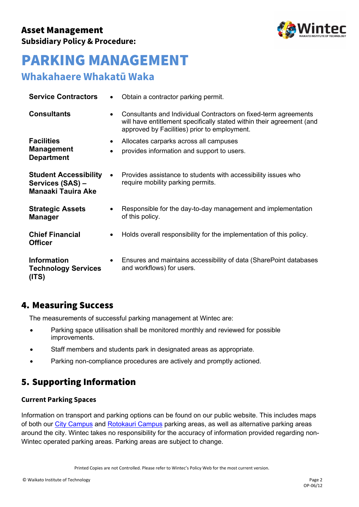

# **Whakahaere Whakatū Waka**

| <b>Service Contractors</b>                                                    | $\bullet$ | Obtain a contractor parking permit.                                                                                                                                                      |
|-------------------------------------------------------------------------------|-----------|------------------------------------------------------------------------------------------------------------------------------------------------------------------------------------------|
| <b>Consultants</b>                                                            | $\bullet$ | Consultants and Individual Contractors on fixed-term agreements<br>will have entitlement specifically stated within their agreement (and<br>approved by Facilities) prior to employment. |
| <b>Facilities</b>                                                             | ٠         | Allocates carparks across all campuses                                                                                                                                                   |
| <b>Management</b><br><b>Department</b>                                        | $\bullet$ | provides information and support to users.                                                                                                                                               |
| <b>Student Accessibility</b><br>Services (SAS) -<br><b>Manaaki Tauira Ake</b> | $\bullet$ | Provides assistance to students with accessibility issues who<br>require mobility parking permits.                                                                                       |
| <b>Strategic Assets</b><br><b>Manager</b>                                     | ٠         | Responsible for the day-to-day management and implementation<br>of this policy.                                                                                                          |
| <b>Chief Financial</b><br><b>Officer</b>                                      | ٠         | Holds overall responsibility for the implementation of this policy.                                                                                                                      |
| <b>Information</b><br><b>Technology Services</b><br>(ITS)                     | $\bullet$ | Ensures and maintains accessibility of data (SharePoint databases<br>and workflows) for users.                                                                                           |

## 4. Measuring Success

The measurements of successful parking management at Wintec are:

- Parking space utilisation shall be monitored monthly and reviewed for possible improvements.
- Staff members and students park in designated areas as appropriate.
- Parking non-compliance procedures are actively and promptly actioned.

# 5. Supporting Information

#### **Current Parking Spaces**

Information on transport and parking options can be found on our public website. This includes maps of both our [City Campus](https://wintecprodpublicwebsite.blob.core.windows.net/sitefinity-storage/docs/default-source/campus/city-campus-parking.pdf?sfvrsn=b96dcd33_28) and [Rotokauri Campus](https://wintecprodpublicwebsite.blob.core.windows.net/sitefinity-storage/docs/default-source/campus/roto-parking-map.pdf?sfvrsn=c493e133_30) parking areas, as well as alternative parking areas around the city. Wintec takes no responsibility for the accuracy of information provided regarding non-Wintec operated parking areas. Parking areas are subject to change.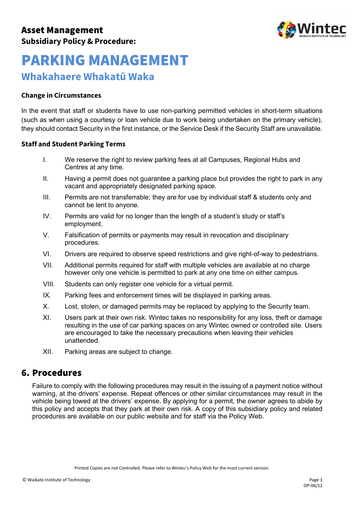

## **Whakahaere Whakatū Waka**

#### **Change in Circumstances**

In the event that staff or students have to use non-parking permitted vehicles in short-term situations (such as when using a courtesy or loan vehicle due to work being undertaken on the primary vehicle), they should contact Security in the first instance, or the Service Desk if the Security Staff are unavailable.

#### **Staff and Student Parking Terms**

- I. We reserve the right to review parking fees at all Campuses, Regional Hubs and Centres at any time.
- II. Having a permit does not guarantee a parking place but provides the right to park in any vacant and appropriately designated parking space.
- III. Permits are not transferrable; they are for use by individual staff & students only and cannot be lent to anyone.
- IV. Permits are valid for no longer than the length of a student's study or staff's employment.
- V. Falsification of permits or payments may result in revocation and disciplinary procedures.
- VI. Drivers are required to observe speed restrictions and give right-of-way to pedestrians.
- VII. Additional permits required for staff with multiple vehicles are available at no charge however only one vehicle is permitted to park at any one time on either campus.
- VIII. Students can only register one vehicle for a virtual permit.
- IX. Parking fees and enforcement times will be displayed in parking areas.
- X. Lost, stolen, or damaged permits may be replaced by applying to the Security team.
- XI. Users park at their own risk. Wintec takes no responsibility for any loss, theft or damage resulting in the use of car parking spaces on any Wintec owned or controlled site. Users are encouraged to take the necessary precautions when leaving their vehicles unattended.
- XII. Parking areas are subject to change.

### 6. Procedures

Failure to comply with the following procedures may result in the issuing of a payment notice without warning, at the drivers' expense. Repeat offences or other similar circumstances may result in the vehicle being towed at the drivers' expense. By applying for a permit, the owner agrees to abide by this policy and accepts that they park at their own risk. A copy of this subsidiary policy and related procedures are available on our public website and for staff via the Policy Web.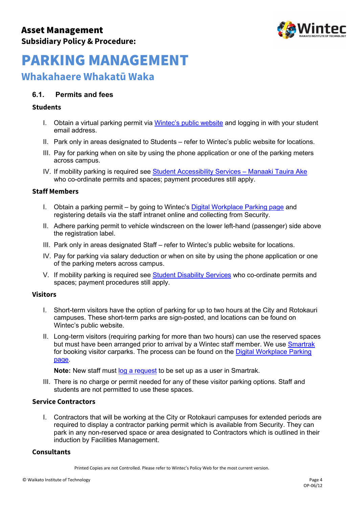

## **Whakahaere Whakatū Waka**

#### **6.1. Permits and fees**

#### **Students**

- I. Obtain a virtual parking permit via Wintec's [public website](https://www.wintec.ac.nz/student-resources/getting-around-campus) and logging in with your student email address.
- II. Park only in areas designated to Students refer to Wintec's public website for locations.
- III. Pay for parking when on site by using the phone application or one of the parking meters across campus.
- IV. If mobility parking is required see [Student Accessibility Services Manaaki Tauira Ake](https://www.wintec.ac.nz/student-resources/support-services/student-disability-services)  who co-ordinate permits and spaces; payment procedures still apply.

#### **Staff Members**

- I. Obtain a parking permit by going to Wintec's [Digital Workplace Parking page](https://wintecac.sharepoint.com/SitePages/Parking.aspx) and registering details via the staff intranet online and collecting from Security.
- II. Adhere parking permit to vehicle windscreen on the lower left-hand (passenger) side above the registration label.
- III. Park only in areas designated Staff refer to Wintec's public website for locations.
- IV. Pay for parking via salary deduction or when on site by using the phone application or one of the parking meters across campus.
- V. If mobility parking is required see [Student Disability Services](https://www.wintec.ac.nz/student-resources/support-services/student-disability-services) who co-ordinate permits and spaces; payment procedures still apply.

#### **Visitors**

- I. Short-term visitors have the option of parking for up to two hours at the City and Rotokauri campuses. These short-term parks are sign-posted, and locations can be found on Wintec's public website.
- II. Long-term visitors (requiring parking for more than two hours) can use the reserved spaces but must have been arranged prior to arrival by a Wintec staff member. We use [Smartrak](https://smartrak.com/) for booking visitor carparks. The process can be found on the Digital Workplace Parking [page.](https://wintecac.sharepoint.com/SitePages/Parking.aspx)

**Note:** New staff must [log a request](https://wintec.zendesk.com/hc/en-us/requests/new?ticket_form_id=360000008496) to be set up as a user in Smartrak.

III. There is no charge or permit needed for any of these visitor parking options. Staff and students are not permitted to use these spaces.

#### **Service Contractors**

I. Contractors that will be working at the City or Rotokauri campuses for extended periods are required to display a contractor parking permit which is available from Security. They can park in any non-reserved space or area designated to Contractors which is outlined in their induction by Facilities Management.

#### **Consultants**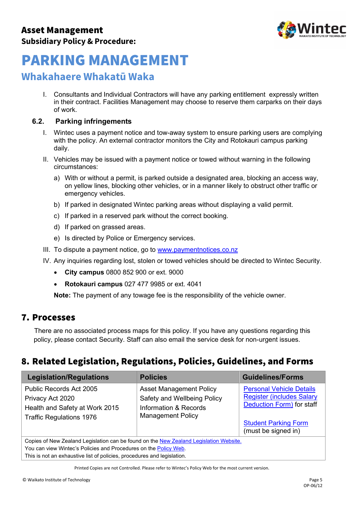

## **Whakahaere Whakatū Waka**

I. Consultants and Individual Contractors will have any parking entitlement expressly written in their contract. Facilities Management may choose to reserve them carparks on their days of work.

#### **6.2. Parking infringements**

- I. Wintec uses a payment notice and tow-away system to ensure parking users are complying with the policy. An external contractor monitors the City and Rotokauri campus parking daily.
- II. Vehicles may be issued with a payment notice or towed without warning in the following circumstances:
	- a) With or without a permit, is parked outside a designated area, blocking an access way, on yellow lines, blocking other vehicles, or in a manner likely to obstruct other traffic or emergency vehicles.
	- b) If parked in designated Wintec parking areas without displaying a valid permit.
	- c) If parked in a reserved park without the correct booking.
	- d) If parked on grassed areas.
	- e) Is directed by Police or Emergency services.
- III. To dispute a payment notice, go to [www.paymentnotices.co.nz](http://www.paymentnotices.co.nz/)
- IV. Any inquiries regarding lost, stolen or towed vehicles should be directed to Wintec Security.
	- **City campus** 0800 852 900 or ext. 9000
	- **Rotokauri campus** 027 477 9985 or ext. 4041

**Note:** The payment of any towage fee is the responsibility of the vehicle owner.

### 7. Processes

There are no associated process maps for this policy. If you have any questions regarding this policy, please contact Security. Staff can also email the service desk for non-urgent issues.

## 8. Related Legislation, Regulations, Policies, Guidelines, and Forms

| <b>Legislation/Regulations</b>                                                                                                                             | <b>Policies</b>                                                                                                    | <b>Guidelines/Forms</b>                                                                                                                                |
|------------------------------------------------------------------------------------------------------------------------------------------------------------|--------------------------------------------------------------------------------------------------------------------|--------------------------------------------------------------------------------------------------------------------------------------------------------|
| Public Records Act 2005<br>Privacy Act 2020<br>Health and Safety at Work 2015<br><b>Traffic Regulations 1976</b>                                           | <b>Asset Management Policy</b><br>Safety and Wellbeing Policy<br>Information & Records<br><b>Management Policy</b> | <b>Personal Vehicle Details</b><br><b>Register (includes Salary</b><br>Deduction Form) for staff<br><b>Student Parking Form</b><br>(must be signed in) |
| Copies of New Zealand Legislation can be found on the New Zealand Legislation Website.<br>Vou can view Winteg's Deligies and Dresselvres on the Deligy Web |                                                                                                                    |                                                                                                                                                        |

u can view Wintec's Policies and Procedures on the <u>Policy Web</u>. This is not an exhaustive list of policies, procedures and legislation.